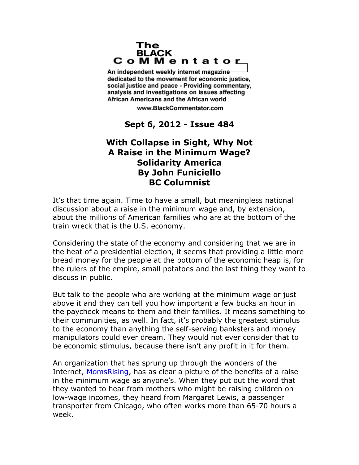## The **BLACK** CoMMentator

An independent weekly internet magazine dedicated to the movement for economic justice. social justice and peace - Providing commentary, analysis and investigations on issues affecting African Americans and the African world.

www.BlackCommentator.com

**Sept 6, 2012 - Issue 484**

## **With Collapse in Sight, Why Not A Raise in the Minimum Wage? Solidarity America By John Funiciello BC Columnist**

It's that time again. Time to have a small, but meaningless national discussion about a raise in the minimum wage and, by extension, about the millions of American families who are at the bottom of the train wreck that is the U.S. economy.

Considering the state of the economy and considering that we are in the heat of a presidential election, it seems that providing a little more bread money for the people at the bottom of the economic heap is, for the rulers of the empire, small potatoes and the last thing they want to discuss in public.

But talk to the people who are working at the minimum wage or just above it and they can tell you how important a few bucks an hour in the paycheck means to them and their families. It means something to their communities, as well. In fact, it's probably the greatest stimulus to the economy than anything the self-serving banksters and money manipulators could ever dream. They would not ever consider that to be economic stimulus, because there isn't any profit in it for them.

An organization that has sprung up through the wonders of the Internet, [MomsRising,](http://www.momsrising.org/) has as clear a picture of the benefits of a raise in the minimum wage as anyone's. When they put out the word that they wanted to hear from mothers who might be raising children on low-wage incomes, they heard from Margaret Lewis, a passenger transporter from Chicago, who often works more than 65-70 hours a week.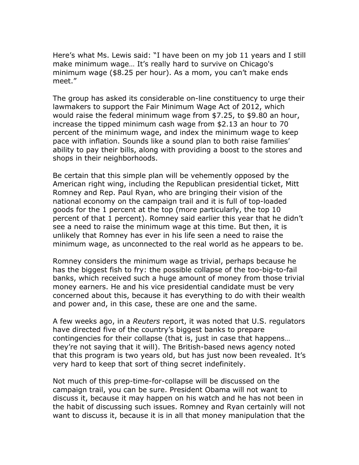Here's what Ms. Lewis said: "I have been on my job 11 years and I still make minimum wage… It's really hard to survive on Chicago's minimum wage (\$8.25 per hour). As a mom, you can't make ends meet."

The group has asked its considerable on-line constituency to urge their lawmakers to support the Fair Minimum Wage Act of 2012, which would raise the federal minimum wage from \$7.25, to \$9.80 an hour, increase the tipped minimum cash wage from \$2.13 an hour to 70 percent of the minimum wage, and index the minimum wage to keep pace with inflation. Sounds like a sound plan to both raise families' ability to pay their bills, along with providing a boost to the stores and shops in their neighborhoods.

Be certain that this simple plan will be vehemently opposed by the American right wing, including the Republican presidential ticket, Mitt Romney and Rep. Paul Ryan, who are bringing their vision of the national economy on the campaign trail and it is full of top-loaded goods for the 1 percent at the top (more particularly, the top 10 percent of that 1 percent). Romney said earlier this year that he didn't see a need to raise the minimum wage at this time. But then, it is unlikely that Romney has ever in his life seen a need to raise the minimum wage, as unconnected to the real world as he appears to be.

Romney considers the minimum wage as trivial, perhaps because he has the biggest fish to fry: the possible collapse of the too-big-to-fail banks, which received such a huge amount of money from those trivial money earners. He and his vice presidential candidate must be very concerned about this, because it has everything to do with their wealth and power and, in this case, these are one and the same.

A few weeks ago, in a *Reuters* report, it was noted that U.S. regulators have directed five of the country's biggest banks to prepare contingencies for their collapse (that is, just in case that happens… they're not saying that it will). The British-based news agency noted that this program is two years old, but has just now been revealed. It's very hard to keep that sort of thing secret indefinitely.

Not much of this prep-time-for-collapse will be discussed on the campaign trail, you can be sure. President Obama will not want to discuss it, because it may happen on his watch and he has not been in the habit of discussing such issues. Romney and Ryan certainly will not want to discuss it, because it is in all that money manipulation that the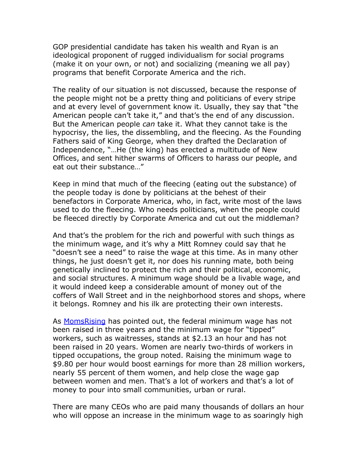GOP presidential candidate has taken his wealth and Ryan is an ideological proponent of rugged individualism for social programs (make it on your own, or not) and socializing (meaning we all pay) programs that benefit Corporate America and the rich.

The reality of our situation is not discussed, because the response of the people might not be a pretty thing and politicians of every stripe and at every level of government know it. Usually, they say that "the American people can't take it," and that's the end of any discussion. But the American people *can* take it. What they cannot take is the hypocrisy, the lies, the dissembling, and the fleecing. As the Founding Fathers said of King George, when they drafted the Declaration of Independence, "…He (the king) has erected a multitude of New Offices, and sent hither swarms of Officers to harass our people, and eat out their substance…"

Keep in mind that much of the fleecing (eating out the substance) of the people today is done by politicians at the behest of their benefactors in Corporate America, who, in fact, write most of the laws used to do the fleecing. Who needs politicians, when the people could be fleeced directly by Corporate America and cut out the middleman?

And that's the problem for the rich and powerful with such things as the minimum wage, and it's why a Mitt Romney could say that he "doesn't see a need" to raise the wage at this time. As in many other things, he just doesn't get it, nor does his running mate, both being genetically inclined to protect the rich and their political, economic, and social structures. A minimum wage should be a livable wage, and it would indeed keep a considerable amount of money out of the coffers of Wall Street and in the neighborhood stores and shops, where it belongs. Romney and his ilk are protecting their own interests.

As [MomsRising](http://www.momsrising.org/) has pointed out, the federal minimum wage has not been raised in three years and the minimum wage for "tipped" workers, such as waitresses, stands at \$2.13 an hour and has not been raised in 20 years. Women are nearly two-thirds of workers in tipped occupations, the group noted. Raising the minimum wage to \$9.80 per hour would boost earnings for more than 28 million workers, nearly 55 percent of them women, and help close the wage gap between women and men. That's a lot of workers and that's a lot of money to pour into small communities, urban or rural.

There are many CEOs who are paid many thousands of dollars an hour who will oppose an increase in the minimum wage to as soaringly high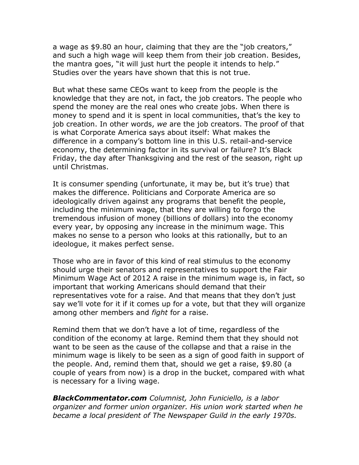a wage as \$9.80 an hour, claiming that they are the "job creators," and such a high wage will keep them from their job creation. Besides, the mantra goes, "it will just hurt the people it intends to help." Studies over the years have shown that this is not true.

But what these same CEOs want to keep from the people is the knowledge that they are not, in fact, the job creators. The people who spend the money are the real ones who create jobs. When there is money to spend and it is spent in local communities, that's the key to job creation. In other words, *we* are the job creators. The proof of that is what Corporate America says about itself: What makes the difference in a company's bottom line in this U.S. retail-and-service economy, the determining factor in its survival or failure? It's Black Friday, the day after Thanksgiving and the rest of the season, right up until Christmas.

It is consumer spending (unfortunate, it may be, but it's true) that makes the difference. Politicians and Corporate America are so ideologically driven against any programs that benefit the people, including the minimum wage, that they are willing to forgo the tremendous infusion of money (billions of dollars) into the economy every year, by opposing any increase in the minimum wage. This makes no sense to a person who looks at this rationally, but to an ideologue, it makes perfect sense.

Those who are in favor of this kind of real stimulus to the economy should urge their senators and representatives to support the Fair Minimum Wage Act of 2012 A raise in the minimum wage is, in fact, so important that working Americans should demand that their representatives vote for a raise. And that means that they don't just say we'll vote for it if it comes up for a vote, but that they will organize among other members and *fight* for a raise.

Remind them that we don't have a lot of time, regardless of the condition of the economy at large. Remind them that they should not want to be seen as the cause of the collapse and that a raise in the minimum wage is likely to be seen as a sign of good faith in support of the people. And, remind them that, should we get a raise, \$9.80 (a couple of years from now) is a drop in the bucket, compared with what is necessary for a living wage.

*BlackCommentator.com Columnist, John Funiciello, is a labor organizer and former union organizer. His union work started when he became a local president of The Newspaper Guild in the early 1970s.*